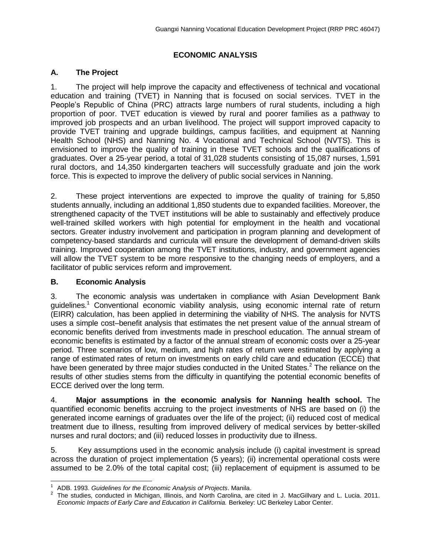## **ECONOMIC ANALYSIS**

## **A. The Project**

1. The project will help improve the capacity and effectiveness of technical and vocational education and training (TVET) in Nanning that is focused on social services. TVET in the People's Republic of China (PRC) attracts large numbers of rural students, including a high proportion of poor. TVET education is viewed by rural and poorer families as a pathway to improved job prospects and an urban livelihood. The project will support improved capacity to provide TVET training and upgrade buildings, campus facilities, and equipment at Nanning Health School (NHS) and Nanning No. 4 Vocational and Technical School (NVTS). This is envisioned to improve the quality of training in these TVET schools and the qualifications of graduates. Over a 25-year period, a total of 31,028 students consisting of 15,087 nurses, 1,591 rural doctors, and 14,350 kindergarten teachers will successfully graduate and join the work force. This is expected to improve the delivery of public social services in Nanning.

2. These project interventions are expected to improve the quality of training for 5,850 students annually, including an additional 1,850 students due to expanded facilities. Moreover, the strengthened capacity of the TVET institutions will be able to sustainably and effectively produce well-trained skilled workers with high potential for employment in the health and vocational sectors. Greater industry involvement and participation in program planning and development of competency-based standards and curricula will ensure the development of demand-driven skills training. Improved cooperation among the TVET institutions, industry, and government agencies will allow the TVET system to be more responsive to the changing needs of employers, and a facilitator of public services reform and improvement.

## **B. Economic Analysis**

3. The economic analysis was undertaken in compliance with Asian Development Bank guidelines.<sup>1</sup> Conventional economic viability analysis, using economic internal rate of return (EIRR) calculation, has been applied in determining the viability of NHS. The analysis for NVTS uses a simple cost–benefit analysis that estimates the net present value of the annual stream of economic benefits derived from investments made in preschool education. The annual stream of economic benefits is estimated by a factor of the annual stream of economic costs over a 25-year period. Three scenarios of low, medium, and high rates of return were estimated by applying a range of estimated rates of return on investments on early child care and education (ECCE) that have been generated by three major studies conducted in the United States.<sup>2</sup> The reliance on the results of other studies stems from the difficulty in quantifying the potential economic benefits of ECCE derived over the long term.

4. **Major assumptions in the economic analysis for Nanning health school.** The quantified economic benefits accruing to the project investments of NHS are based on (i) the generated income earnings of graduates over the life of the project; (ii) reduced cost of medical treatment due to illness, resulting from improved delivery of medical services by better-skilled nurses and rural doctors; and (iii) reduced losses in productivity due to illness.

5. Key assumptions used in the economic analysis include (i) capital investment is spread across the duration of project implementation (5 years); (ii) incremental operational costs were assumed to be 2.0% of the total capital cost; (iii) replacement of equipment is assumed to be

j <sup>1</sup>ADB. 1993. *Guidelines for the Economic Analysis of Projects*. Manila.

<sup>2</sup> The studies, conducted in Michigan, Illinois, and North Carolina, are cited in J. MacGillvary and L. Lucia. 2011. **Economic Impacts of Early Care and Education in California. Berkeley: UC Berkeley Labor Center.**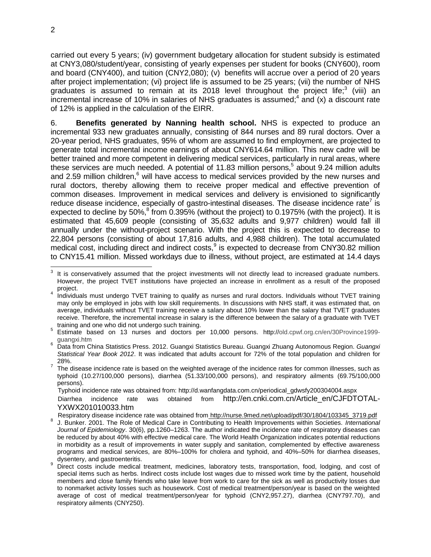carried out every 5 years; (iv) government budgetary allocation for student subsidy is estimated at CNY3,080/student/year, consisting of yearly expenses per student for books (CNY600), room and board (CNY400), and tuition (CNY2,080); (v) benefits will accrue over a period of 20 years after project implementation; (vi) project life is assumed to be 25 years; (vii) the number of NHS graduates is assumed to remain at its 2018 level throughout the project life; $3$  (viii) an incremental increase of 10% in salaries of NHS graduates is assumed;<sup>4</sup> and (x) a discount rate of 12% is applied in the calculation of the EIRR.

6. **Benefits generated by Nanning health school.** NHS is expected to produce an incremental 933 new graduates annually, consisting of 844 nurses and 89 rural doctors. Over a 20-year period, NHS graduates, 95% of whom are assumed to find employment, are projected to generate total incremental income earnings of about CNY614.64 million. This new cadre will be better trained and more competent in delivering medical services, particularly in rural areas, where these services are much needed. A potential of 11.83 million persons,<sup>5</sup> about 9.24 million adults and 2.59 million children, $6$  will have access to medical services provided by the new nurses and rural doctors, thereby allowing them to receive proper medical and effective prevention of common diseases. Improvement in medical services and delivery is envisioned to significantly reduce disease incidence, especially of gastro-intestinal diseases. The disease incidence rate<sup>7</sup> is expected to decline by 50%, $^8$  from 0.395% (without the project) to 0.1975% (with the project). It is estimated that 45,609 people (consisting of 35,632 adults and 9,977 children) would fall ill annually under the without-project scenario. With the project this is expected to decrease to 22,804 persons (consisting of about 17,816 adults, and 4,988 children). The total accumulated medical cost, including direct and indirect costs,  $9$  is expected to decrease from CNY30.82 million to CNY15.41 million. Missed workdays due to illness, without project, are estimated at 14.4 days

Typhoid incidence rate was obtained from: http://d.wanfangdata.com.cn/periodical\_gdwsfy200304004.aspx

 Diarrhea incidence rate was obtained from http://en.cnki.com.cn/Article\_en/CJFDTOTAL-YXWX201010033.htm

Respiratory disease incidence rate was obtained from http://nurse.9med.net/upload/pdf/30/1804/103345\_3719.pdf

- 8 J. Bunker. 2001. The Role of Medical Care in Contributing to Health Improvements within Societies. *International Journal of Epidemiology*. 30(6), pp.1260–1263. The author indicated the incidence rate of respiratory diseases can be reduced by about 40% with effective medical care. The World Health Organization indicates potential reductions in morbidity as a result of improvements in water supply and sanitation, complemented by effective awareness programs and medical services, are 80%–100% for cholera and typhoid, and 40%–50% for diarrhea diseases, dysentery, and gastroenteritis.
- 9 Direct costs include medical treatment, medicines, laboratory tests, transportation, food, lodging, and cost of special items such as herbs. Indirect costs include lost wages due to missed work time by the patient, household members and close family friends who take leave from work to care for the sick as well as productivity losses due to nonmarket activity losses such as housework. Cost of medical treatment/person/year is based on the weighted average of cost of medical treatment/person/year for typhoid (CNY2,957.27), diarrhea (CNY797.70), and respiratory ailments (CNY250).

<sup>3</sup> It is conservatively assumed that the project investments will not directly lead to increased graduate numbers. However, the project TVET institutions have projected an increase in enrollment as a result of the proposed project.

<sup>&</sup>lt;sup>4</sup> Individuals must undergo TVET training to qualify as nurses and rural doctors. Individuals without TVET training may only be employed in jobs with low skill requirements. In discussions with NHS staff, it was estimated that, on average, individuals without TVET training receive a salary about 10% lower than the salary that TVET graduates receive. Therefore, the incremental increase in salary is the difference between the salary of a graduate with TVET training and one who did not undergo such training.

<sup>5</sup> Estimate based on 13 nurses and doctors per 10,000 persons. http://old.cpwf.org.cn/en/30Province1999 guangxi.htm

<sup>6</sup> Data from China Statistics Press. 2012. Guangxi Statistics Bureau. Guangxi Zhuang Autonomous Region. *Guangxi Statistical Year Book 2012*. It was indicated that adults account for 72% of the total population and children for 28%.

<sup>7</sup> The disease incidence rate is based on the weighted average of the incidence rates for common illnesses, such as typhoid (10.27/100,000 persons), diarrhea (51.33/100,000 persons), and respiratory ailments (69.75/100,000 persons).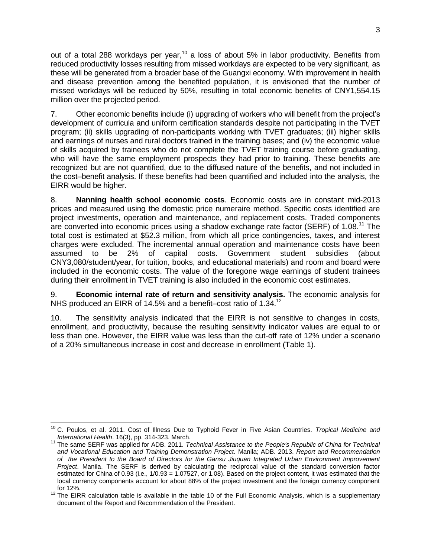out of a total 288 workdays per year,<sup>10</sup> a loss of about 5% in labor productivity. Benefits from reduced productivity losses resulting from missed workdays are expected to be very significant, as these will be generated from a broader base of the Guangxi economy. With improvement in health and disease prevention among the benefited population, it is envisioned that the number of missed workdays will be reduced by 50%, resulting in total economic benefits of CNY1,554.15 million over the projected period.

7. Other economic benefits include (i) upgrading of workers who will benefit from the project's development of curricula and uniform certification standards despite not participating in the TVET program; (ii) skills upgrading of non-participants working with TVET graduates; (iii) higher skills and earnings of nurses and rural doctors trained in the training bases; and (iv) the economic value of skills acquired by trainees who do not complete the TVET training course before graduating, who will have the same employment prospects they had prior to training. These benefits are recognized but are not quantified, due to the diffused nature of the benefits, and not included in the cost–benefit analysis. If these benefits had been quantified and included into the analysis, the EIRR would be higher.

8. **Nanning health school economic costs**. Economic costs are in constant mid-2013 prices and measured using the domestic price numeraire method. Specific costs identified are project investments, operation and maintenance, and replacement costs. Traded components are converted into economic prices using a shadow exchange rate factor (SERF) of 1.08.<sup>11</sup> The total cost is estimated at \$52.3 million, from which all price contingencies, taxes, and interest charges were excluded. The incremental annual operation and maintenance costs have been assumed to be 2% of capital costs. Government student subsidies (about CNY3,080/student/year, for tuition, books, and educational materials) and room and board were included in the economic costs. The value of the foregone wage earnings of student trainees during their enrollment in TVET training is also included in the economic cost estimates.

9. **Economic internal rate of return and sensitivity analysis.** The economic analysis for NHS produced an EIRR of 14.5% and a benefit–cost ratio of 1.34.<sup>12</sup>

10. The sensitivity analysis indicated that the EIRR is not sensitive to changes in costs, enrollment, and productivity, because the resulting sensitivity indicator values are equal to or less than one. However, the EIRR value was less than the cut-off rate of 12% under a scenario of a 20% simultaneous increase in cost and decrease in enrollment (Table 1).

 <sup>10</sup> C. Poulos, et al. 2011. Cost of Illness Due to Typhoid Fever in Five Asian Countries. *Tropical Medicine and International Health*. 16(3), pp. 314-323. March.

<sup>&</sup>lt;sup>11</sup> The same SERF was applied for ADB. 2011. *Technical Assistance to the People's Republic of China for Technical and Vocational Education and Training Demonstration Project.* Manila; ADB. 2013. *Report and Recommendation of the President to the Board of Directors for the Gansu Jiuquan Integrated Urban Environment Improvement Project*. Manila. The SERF is derived by calculating the reciprocal value of the standard conversion factor estimated for China of 0.93 (i.e.,  $1/0.93 = 1.07527$ , or 1.08). Based on the project content, it was estimated that the local currency components account for about 88% of the project investment and the foreign currency component for 12%.

<sup>&</sup>lt;sup>12</sup> The EIRR calculation table is available in the table 10 of the Full Economic Analysis, which is a supplementary document of the Report and Recommendation of the President.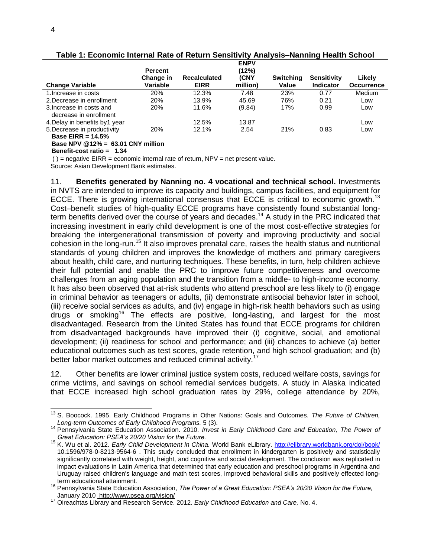|                                                     | <b>Percent</b> |                     | <b>ENPV</b><br>(12%) |                  |                    |                   |
|-----------------------------------------------------|----------------|---------------------|----------------------|------------------|--------------------|-------------------|
|                                                     | Change in      | <b>Recalculated</b> | (CNY                 | <b>Switching</b> | <b>Sensitivity</b> | Likely            |
| <b>Change Variable</b>                              | Variable       | <b>EIRR</b>         | million)             | Value            | Indicator          | <b>Occurrence</b> |
| 1. Increase in costs                                | 20%            | 12.3%               | 7.48                 | 23%              | 0.77               | <b>Medium</b>     |
| 2. Decrease in enrollment                           | 20%            | 13.9%               | 45.69                | 76%              | 0.21               | Low               |
| 3. Increase in costs and<br>decrease in enrollment  | <b>20%</b>     | 11.6%               | (9.84)               | 17%              | 0.99               | Low               |
| 4. Delay in benefits by 1 year                      |                | 12.5%               | 13.87                |                  |                    | Low               |
| 5. Decrease in productivity<br>Base EIRR = $14.5\%$ | 20%            | 12.1%               | 2.54                 | 21%              | 0.83               | Low               |
| Base NPV $@12\% = 63.01$ CNY million                |                |                     |                      |                  |                    |                   |
| Benefit-cost ratio = $1.34$                         |                |                     |                      |                  |                    |                   |

**Table 1: Economic Internal Rate of Return Sensitivity Analysis–Nanning Health School**

 $( )$  = negative EIRR = economic internal rate of return, NPV = net present value.

Source: Asian Development Bank estimates.

11. **Benefits generated by Nanning no. 4 vocational and technical school.** Investments in NVTS are intended to improve its capacity and buildings, campus facilities, and equipment for ECCE. There is growing international consensus that ECCE is critical to economic growth.<sup>13</sup> Cost–benefit studies of high-quality ECCE programs have consistently found substantial longterm benefits derived over the course of years and decades.<sup>14</sup> A study in the PRC indicated that increasing investment in early child development is one of the most cost-effective strategies for breaking the intergenerational transmission of poverty and improving productivity and social cohesion in the long-run.<sup>15</sup> It also improves prenatal care, raises the health status and nutritional standards of young children and improves the knowledge of mothers and primary caregivers about health, child care, and nurturing techniques. These benefits, in turn, help children achieve their full potential and enable the PRC to improve future competitiveness and overcome challenges from an aging population and the transition from a middle- to high-income economy. It has also been observed that at-risk students who attend preschool are less likely to (i) engage in criminal behavior as teenagers or adults, (ii) demonstrate antisocial behavior later in school, (iii) receive social services as adults, and (iv) engage in high-risk health behaviors such as using drugs or smoking<sup>16</sup> The effects are positive, long-lasting, and largest for the most disadvantaged. Research from the United States has found that ECCE programs for children from disadvantaged backgrounds have improved their (i) cognitive, social, and emotional development; (ii) readiness for school and performance; and (iii) chances to achieve (a) better educational outcomes such as test scores, grade retention, and high school graduation; and (b) better labor market outcomes and reduced criminal activity.<sup>1</sup>

12. Other benefits are lower criminal justice system costs, reduced welfare costs, savings for crime victims, and savings on school remedial services budgets. A study in Alaska indicated that ECCE increased high school graduation rates by 29%, college attendance by 20%,

 $\overline{a}$ <sup>13</sup> S. Boocock. 1995. Early Childhood Programs in Other Nations: Goals and Outcomes. *The Future of Children, Long-term Outcomes of Early Childhood Programs.* 5 (3).

<sup>14</sup> Pennsylvania State Education Association. 2010. *Invest in Early Childhood Care and Education, The Power of Great Education: PSEA's 20/20 Vision for the Future.*

<sup>15</sup> K. Wu et al. 2012. *Early Child Development in China.* World Bank eLibrary. <http://elibrary.worldbank.org/doi/book/> 10.1596/978-0-8213-9564-6 . This study concluded that enrollment in kindergarten is positively and statistically significantly correlated with weight, height, and cognitive and social development. The conclusion was replicated in impact evaluations in Latin America that determined that early education and preschool programs in Argentina and Uruguay raised children's language and math test scores, improved behavioral skills and positively effected longterm educational attainment.

<sup>16</sup> Pennsylvania State Education Association, *The Power of a Great Education: PSEA's 20/20 Vision for the Future,*  January 2010\_http://www.psea.org/vision/

<sup>17</sup> Oireachtas Library and Research Service. 2012. *Early Childhood Education and Care,* No. 4.